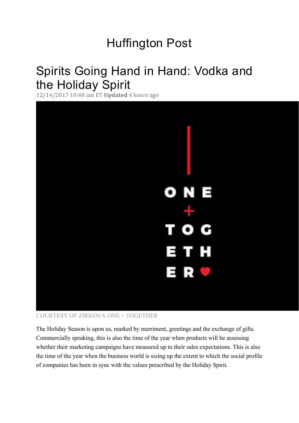# Huffington Post

# Spirits Going Hand in Hand: Vodka and the Holiday Spirit

12/14/2017 10:48 am ET **Updated** 4 hours ago



## COURTESY OF ZIRKOVA ONE + TOGETHER

The Holiday Season is upon us, marked by merriment, greetings and the exchange of gifts. Commercially speaking, this is also the time of the year when products will be assessing whether their marketing campaigns have measured up to their sales expectations. This is also the time of the year when the business world is sizing up the extent to which the social profile of companies has been in sync with the values prescribed by the Holiday Spirit.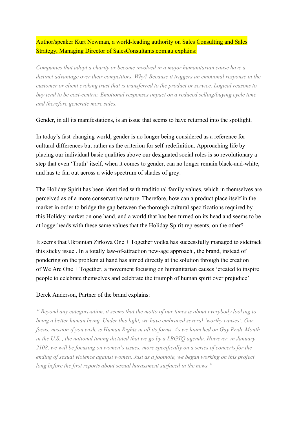Author/speaker Kurt Newman, a world-leading authority on Sales Consulting and Sales Strategy, Managing Director o[f SalesConsultants.com.au e](https://www.salesconsultants.com.au/)xplains:

*Companies that adopt a charity or become involved in a major humanitarian cause have a distinct advantage over their competitors. Why? Because it triggers an emotional response in the customer or client evoking trust that is transferred to the product or service. Logical reasons to buy tend to be cost-centric. Emotional responses impact on a reduced selling/buying cycle time and therefore generate more sales.*

Gender, in all its manifestations, is an issue that seems to have returned into the spotlight.

In today's fast-changing world, gender is no longer being considered as a reference for cultural differences but rather as the criterion for self-redefinition. Approaching life by placing our individual basic qualities above our designated social roles is so revolutionary a step that even 'Truth' itself, when it comes to gender, can no longer remain black-and-white, and has to fan out across a wide spectrum of shades of grey.

The Holiday Spirit has been identified with traditional family values, which in themselves are perceived as of a more conservative nature. Therefore, how can a product place itself in the market in order to bridge the gap between the thorough cultural specifications required by this Holiday market on one hand, and a world that has ben turned on its head and seems to be at loggerheads with these same values that the Holiday Spirit represents, on the other?

It seems that Ukrainian [Zirkova One + Together v](http://zirkovavodka.com/welcome/)odka has successfully managed to sidetrack this sticky issue . In a totally law-of-attraction new-age approach , the brand, instead of pondering on the problem at hand has aimed directly at the solution through the creation of [We Are One + Together,](http://www.weareonetogether.org/) a movement focusing on humanitarian causes 'created to inspire people to celebrate themselves and celebrate the triumph of human spirit over prejudice'

## Derek Anderson, Partner of the brand explains:

*" Beyond any categorization, it seems that the motto of our times is about everybody looking to being a better human being. Under this light, we have embraced several 'worthy causes'. Our focus, mission if you wish, is Human Rights in all its forms. As we launched on Gay Pride Month in the U.S. , the national timing dictated that we go by a LBGTQ agenda. However, in January 2108, we will be focusing on women's issues, more specifically on a series of concerts for the ending of sexual violence against women. Just as a footnote, we began working on this project long before the first reports about sexual harassment surfaced in the news."*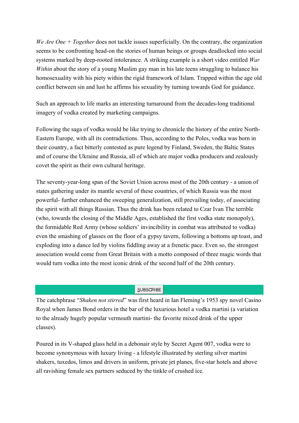*We Are One + Together* does not tackle issues superficially. On the contrary, the organization seems to be confronting head-on the stories of human beings or groups deadlocked into social systems marked by deep-rooted intolerance. A striking example is a short video entitled *War Within* about the story of a young Muslim gay man in his late teens struggling to balance his homosexuality with his piety within the rigid framework of Islam. Trapped within the age old conflict between sin and lust he affirms his sexuality by turning towards God for guidance.

Such an approach to life marks an interesting turnaround from the decades-long traditional imagery of vodka created by marketing campaigns.

Following the saga of vodka would be like trying to chronicle the history of the entire North-Eastern Europe, with all its contradictions. Thus, according to the Poles, vodka was born in their country, a fact bitterly contested as pure legend by Finland, Sweden, the Baltic States and of course the Ukraine and Russia, all of which are major vodka producers and zealously covet the spirit as their own cultural heritage.

The seventy-year-long span of the Soviet Union across most of the 20th century - a union of states gathering under its mantle several of these countries, of which Russia was the most powerful- further enhanced the sweeping generalization, still prevailing today, of associating the spirit with all things Russian. Thus the drink has been related to Czar Ivan The terrible (who, towards the closing of the Middle Ages, established the first vodka state monopoly), the formidable Red Army (whose soldiers' invincibility in combat was attributed to vodka) even the smashing of glasses on the floor of a gypsy tavern, following a bottoms up toast, and exploding into a dance led by violins fiddling away at a frenetic pace. Even so, the strongest association would come from Great Britain with a motto composed of three magic words that would turn vodka into the most iconic drink of the second half of the 20th century.

#### SUBSCRIBE

The catchphrase "*Shaken not stirred*" was first heard in Ian Fleming's 1953 spy novel Casino Royal when James Bond orders in the bar of the luxurious hotel a vodka martini (a variation to the already hugely popular vermouth martini- the favorite mixed drink of the upper classes).

Poured in its V-shaped glass held in a debonair style by Secret Agent 007, vodka were to become synonymous with luxury living - a lifestyle illustrated by sterling silver martini shakers, tuxedos, limos and drivers in uniform, private jet planes, five-star hotels and above all ravishing female sex partners seduced by the tinkle of crushed ice.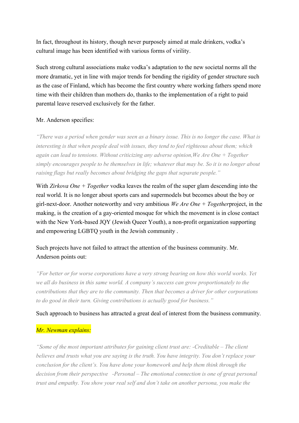In fact, throughout its history, though never purposely aimed at male drinkers, vodka's cultural image has been identified with various forms of virility.

Such strong cultural associations make vodka's adaptation to the new societal norms all the more dramatic, yet in line with major trends for bending the rigidity of gender structure such as the case of Finland, which has become the first country where working fathers spend more time with their children than mothers do, thanks to the implementation of a right to paid parental leave reserved exclusively for the father.

## Mr. Anderson specifies:

*"There was a period when gender was seen as a binary issue. This is no longer the case. What is interesting is that when people deal with issues, they tend to feel righteous about them; which again can lead to tensions. Without criticizing any adverse opinion,We Are One + Together simply encourages people to be themselves in life; whatever that may be. So it is no longer about raising flags but really becomes about bridging the gaps that separate people."*

With *Zirkova One + Together* vodka leaves the realm of the super glam descending into the real world. It is no longer about sports cars and supermodels but becomes about the boy or girl-next-door. Another noteworthy and very ambitious *We Are One + Together*project, in the making, is the creation of a gay-oriented mosque for which the movement is in close contact with the New York-based [JQY \(Jewish Queer Youth\),](https://www.jqyouth.org/) a non-profit organization supporting and empowering LGBTQ youth in the Jewish community .

## Such projects have not failed to attract the attention of the business community. Mr. Anderson points out:

*"For better or for worse corporations have a very strong bearing on how this world works. Yet we all do business in this same world. A company's success can grow proportionately to the contributions that they are to the community. Then that becomes a driver for other corporations to do good in their turn. Giving contributions is actually good for business."*

## Such approach to business has attracted a great deal of interest from the business community.

## *Mr. Newman explains:*

*"Some of the most important attributes for gaining client trust are: -Creditable – The client believes and trusts what you are saying is the truth. You have integrity. You don't replace your conclusion for the client's. You have done your homework and help them think through the decision from their perspective -Personal – The emotional connection is one of great personal trust and empathy. You show your real self and don't take on another persona, you make the*